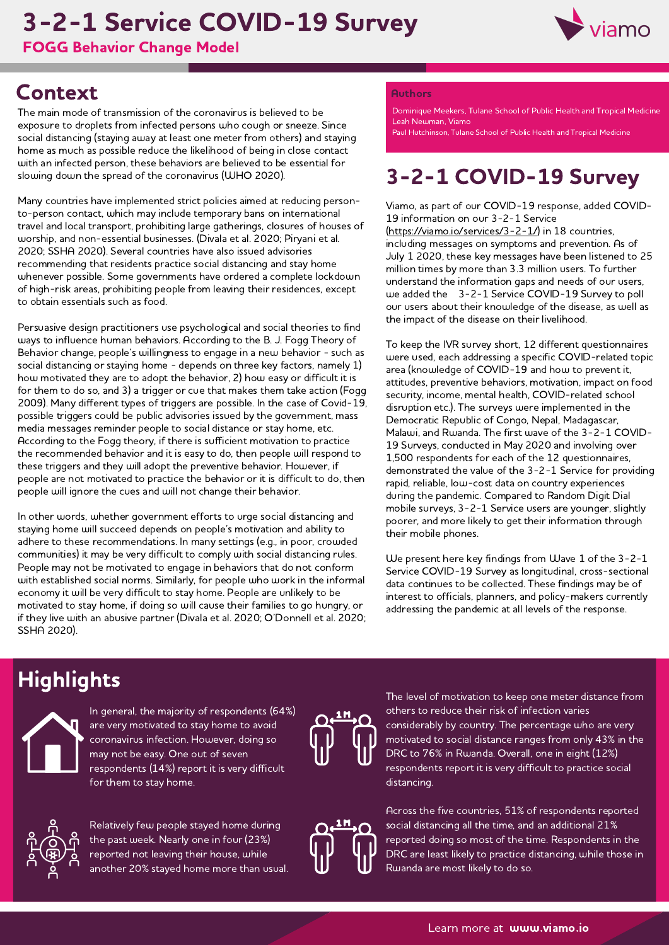# 3-2-1 Service COVID-19 Survey

FOGG Behavior Change Model



## **Context**

The main mode of transmission of the coronavirus is believed to be exposure to droplets from infected persons who cough or sneeze. Since social distancing (staying away at least one meter from others) and staying home as much as possible reduce the likelihood of being in close contact with an infected person, these behaviors are believed to be essential for slowing down the spread of the coronavirus (WHO 2020).

Many countries have implemented strict policies aimed at reducing personto-person contact, which may include temporary bans on international travel and local transport, prohibiting large gatherings, closures of houses of worship, and non-essential businesses. (Divala et al. 2020; Piryani et al. 2020; SSHA 2020). Several countries have also issued advisories recommending that residents practice social distancing and stay home whenever possible. Some governments have ordered a complete lockdown of high-risk areas, prohibiting people from leaving their residences, except to obtain essentials such as food.

Persuasive design practitioners use psychological and social theories to find ways to influence human behaviors. According to the B. J. Fogg Theory of Behavior change, people's willingness to engage in a new behavior - such as social distancing or staying home - depends on three key factors, namely 1) how motivated they are to adopt the behavior, 2) how easy or difficult it is for them to do so, and 3) a trigger or cue that makes them take action (Fogg 2009). Many different types of triggers are possible. In the case of Covid-19, possible triggers could be public advisories issued by the government, mass media messages reminder people to social distance or stay home, etc. According to the Fogg theory, if there is sufficient motivation to practice the recommended behavior and it is easy to do, then people will respond to these triggers and they will adopt the preventive behavior. However, if people are not motivated to practice the behavior or it is difficult to do, then people will ignore the cues and will not change their behavior.

In other words, whether government efforts to urge social distancing and staying home will succeed depends on people's motivation and ability to adhere to these recommendations. In many settings (e.g., in poor, crowded communities) it may be very difficult to comply with social distancing rules. People may not be motivated to engage in behaviors that do not conform with established social norms. Similarly, for people who work in the informal economy it will be very difficult to stay home. People are unlikely to be motivated to stay home, if doing so will cause their families to go hungry, or if they live with an abusive partner (Divala et al. 2020; O'Donnell et al. 2020; SSHA 2020).

#### Authors

Leah Newman, Viamo Dominique Meekers, Tulane School of Public Health and Tropical Medicine

Paul Hutchinson, Tulane School of Public Health and Tropical Medicine

# 3-2-1 COVID-19 Survey

Viamo, as part of our COVID-19 response, added COVID-19 information on our 3-2-1 Service

[\(https://viamo.io/services/3-2-1/\)](https://viamo.io/services/3-2-1/) in 18 countries, including messages on symptoms and prevention. As of July 1 2020, these key messages have been listened to 25 million times by more than 3.3 million users. To further understand the information gaps and needs of our users, we added the 3-2-1 Service COVID-19 Survey to poll our users about their knowledge of the disease, as well as the impact of the disease on their livelihood.

To keep the IVR survey short, 12 different questionnaires were used, each addressing a specific COVID-related topic area (knowledge of COVID-19 and how to prevent it, attitudes, preventive behaviors, motivation, impact on food security, income, mental health, COVID-related school disruption etc.). The surveys were implemented in the Democratic Republic of Congo, Nepal, Madagascar, Malawi, and Rwanda. The first wave of the 3-2-1 COVID-19 Surveys, conducted in May 2020 and involving over 1,500 respondents for each of the 12 questionnaires, demonstrated the value of the 3-2-1 Service for providing rapid, reliable, low-cost data on country experiences during the pandemic. Compared to Random Digit Dial mobile surveys, 3-2-1 Service users are younger, slightly poorer, and more likely to get their information through their mobile phones.

We present here key findings from Wave 1 of the 3-2-1 Service COVID-19 Survey as longitudinal, cross-sectional data continues to be collected. These findings may be of interest to officials, planners, and policy-makers currently addressing the pandemic at all levels of the response.

# **Highlights**



In general, the majority of respondents (64%) are very motivated to stay home to avoid coronavirus infection. However, doing so may not be easy. One out of seven respondents (14%) report it is very difficult for them to stay home.



The level of motivation to keep one meter distance from others to reduce their risk of infection varies considerably by country. The percentage who are very motivated to social distance ranges from only 43% in the DRC to 76% in Rwanda. Overall, one in eight (12%) respondents report it is very difficult to practice social distancing.



Relatively few people stayed home during the past week. Nearly one in four (23%) reported not leaving their house, while another 20% stayed home more than usual.

Across the five countries, 51% of respondents reported social distancing all the time, and an additional 21% reported doing so most of the time. Respondents in the DRC are least likely to practice distancing, while those in Rwanda are most likely to do so.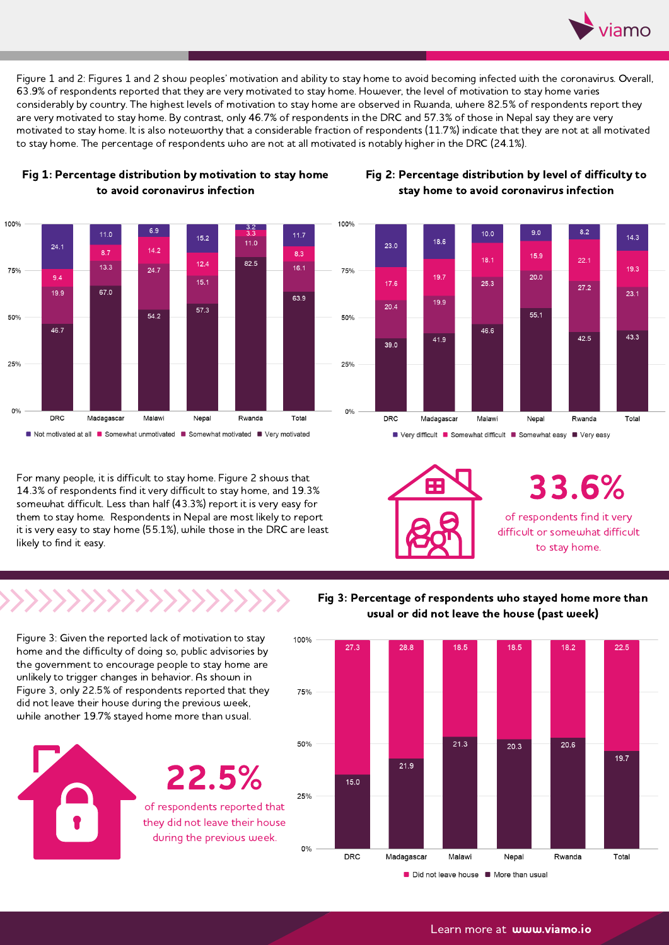

Figure 1 and 2: Figures 1 and 2 show peoples' motivation and ability to stay home to avoid becoming infected with the coronavirus. Overall, 63.9% of respondents reported that they are very motivated to stay home. However, the level of motivation to stay home varies considerably by country. The highest levels of motivation to stay home are observed in Rwanda, where 82.5% of respondents report they<br>are very motivated to stay home. By contrast, only 46.7% of respondents in the DRC and 5 motivated to stay home. It is also noteworthy that a considerable fraction of respondents (11.7%) indicate that they are not at all motivated to stay home. The percentage of respondents who are not at all motivated is notably higher in the DRC (24.1%).



### Fig 1: Percentage distribution by motivation to stay home to avoid coronavirus infection

#### Fig 2: Percentage distribution by level of difficulty to stay home to avoid coronavirus infection



For many people, it is difficult to stay home. Figure 2 shows that 14.3% of respondents find it very difficult to stay home, and 19.3% somewhat difficult. Less than half (43.3%) report it is very easy for them to stay home. Respondents in Nepal are most likely to report it is very easy to stay home (55.1%), while those in the DRC are least likely to find it easy.

■ Very difficult ■ Somewhat difficult ■ Somewhat easy ■ Very easy



of respondents find it very difficult or somewhat difficult to stay home. 33.6%

Figure 3: Given the reported lack of motivation to stay home and the difficulty of doing so, public advisories by the government to encourage people to stay home are unlikely to trigger changes in behavior. As shown in Figure 3, only 22.5% of respondents reported that they while another 19.7% stayed home more than usual.



22.5%

of respondents reported that they did not leave their house during the previous week.

Fig 3: Percentage of respondents who stayed home more than usual or did not leave the house (past week)